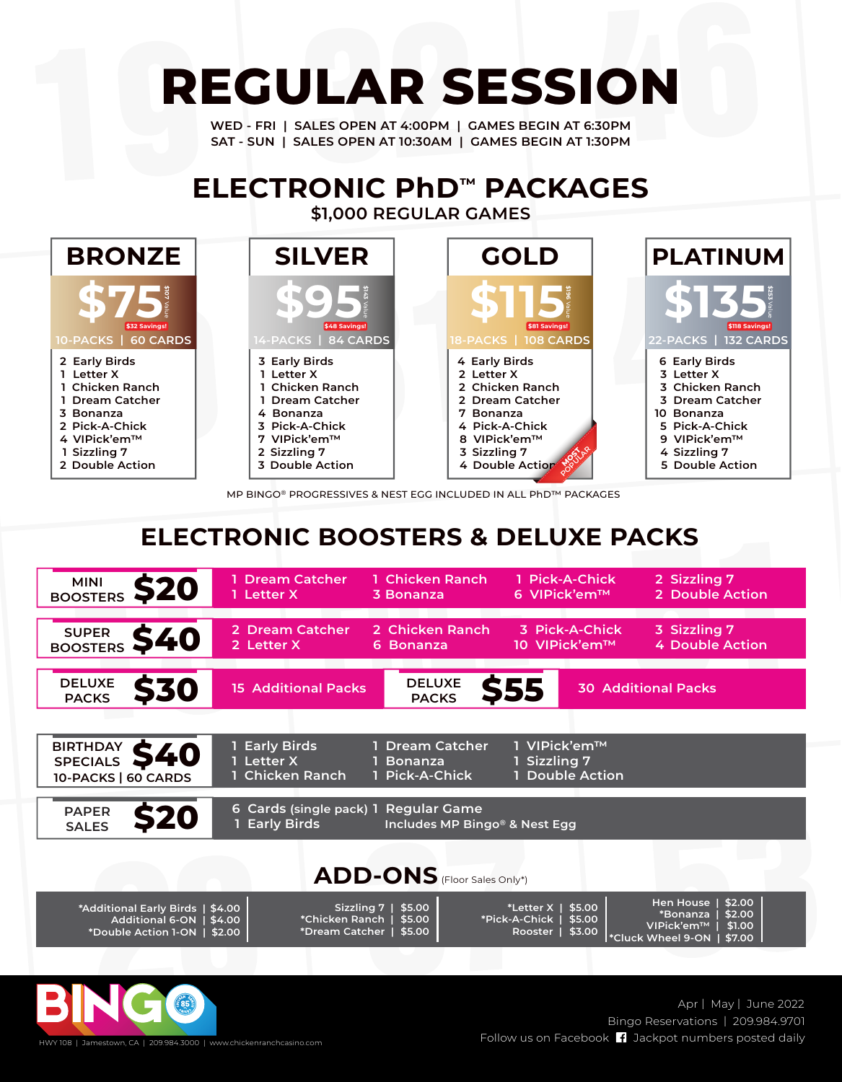## **REGULAR SESSION**

**WED - FRI | SALES OPEN AT 4:00PM | GAMES BEGIN AT 6:30PM SAT - SUN | SALES OPEN AT 10:30AM | GAMES BEGIN AT 1:30PM**

## **\$1,000 REGULAR GAMES ELECTRONIC PhD™ PACKAGES**



MP BINGO® PROGRESSIVES & NEST EGG INCLUDED IN ALL PhD™ PACKAGES

## **ELECTRONIC BOOSTERS & DELUXE PACKS**

| <b>MINI</b><br><b>S20</b><br><b>BOOSTERS</b>                                        | <b>Dream Catcher</b><br>1 Letter X                         | 1 Chicken Ranch<br>3 Bonanza                               | 1 Pick-A-Chick<br>6 VIPick'em™                                    | 2 Sizzling 7<br>2 Double Action                                                                     |  |
|-------------------------------------------------------------------------------------|------------------------------------------------------------|------------------------------------------------------------|-------------------------------------------------------------------|-----------------------------------------------------------------------------------------------------|--|
| <b>SUPER</b><br>S40<br>BOOSTERS                                                     | 2 Dream Catcher<br>2 Letter X                              | 2 Chicken Ranch<br>6 Bonanza                               | 3 Pick-A-Chick<br>10 VIPick'em™                                   | 3 Sizzling 7<br><b>4 Double Action</b>                                                              |  |
| <b>DELUXE</b><br><b>S30</b><br><b>PACKS</b>                                         | <b>15 Additional Packs</b>                                 | <b>DELUXE</b><br><b>PACKS</b>                              | S55                                                               | <b>30 Additional Packs</b>                                                                          |  |
|                                                                                     |                                                            |                                                            |                                                                   |                                                                                                     |  |
| <b>BIRTHDAY</b><br>SPECIALS <b>540</b><br>10-PACKS   60 CARDS                       | 1 Early Birds<br>1 Letter X<br>1 Chicken Ranch             | 1 Dream Catcher<br>1 Bonanza<br>1 Pick-A-Chick             | 1 VIPick'em™<br>1 Sizzling 7<br>1 Double Action                   |                                                                                                     |  |
| <b>PAPER</b><br><b>SALES</b>                                                        | 6 Cards (single pack) 1 Regular Game<br><b>Early Birds</b> | Includes MP Bingo® & Nest Egg                              |                                                                   |                                                                                                     |  |
| ADD-ONS (Floor Sales Only*)                                                         |                                                            |                                                            |                                                                   |                                                                                                     |  |
| *Additional Early Birds   \$4.00<br>Additional 6-ON   \$4.00<br>*Double Action 1-ON | *Chicken Ranch 1<br>\$2.00                                 | Sizzling $7$   \$5.00<br>\$5.00<br>*Dream Catcher   \$5.00 | *Letter X   \$5.00<br>*Pick-A-Chick   \$5.00<br>\$3.00<br>Rooster | \$2.00<br>Hen House  <br>\$2.00<br>*Bonanza  <br>VIPick'em™<br>\$1.00<br>*Cluck Wheel 9-ON   \$7.00 |  |
|                                                                                     |                                                            |                                                            |                                                                   |                                                                                                     |  |



Bingo Reservations | 209.984.9701 Follow us on Facebook Jackpot numbers posted daily HWY 108 | Jamestown, CA | 209.984.3000 | www.chickenranchcasino.com Apr | May | June 2022